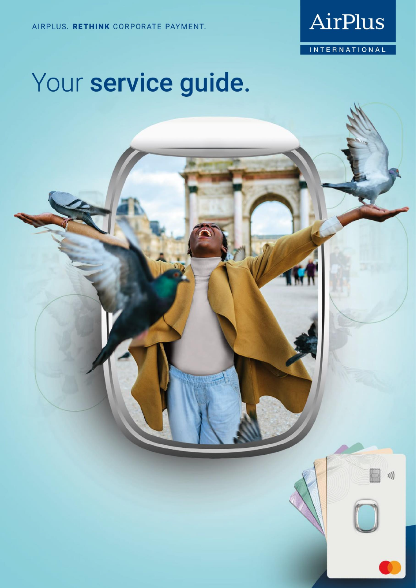

 $\left. \right) \right)$ 

# Your service guide.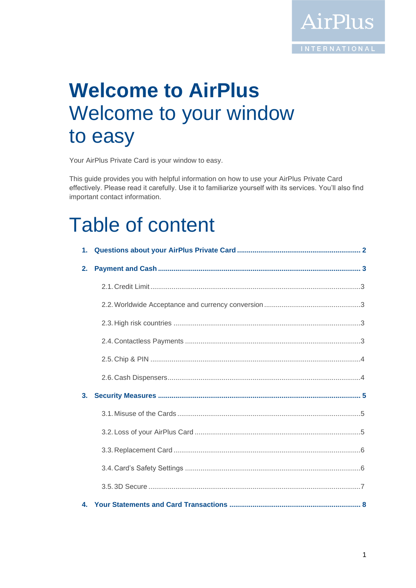

## **Welcome to AirPlus** Welcome to your window to easy

Your AirPlus Private Card is your window to easy.

This guide provides you with helpful information on how to use your AirPlus Private Card effectively. Please read it carefully. Use it to familiarize yourself with its services. You'll also find important contact information.

## Table of content

| 2. |  |
|----|--|
|    |  |
|    |  |
|    |  |
|    |  |
|    |  |
|    |  |
| 3. |  |
|    |  |
|    |  |
|    |  |
|    |  |
|    |  |
|    |  |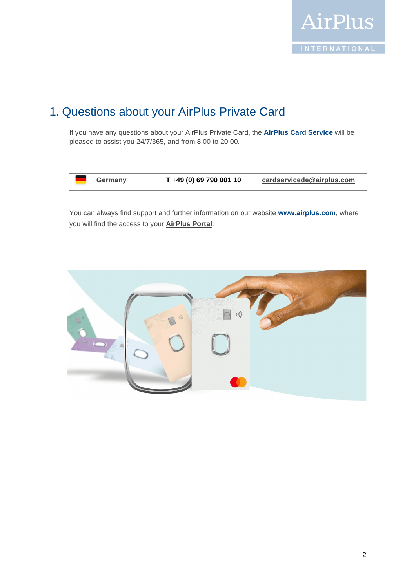

### <span id="page-2-0"></span>1. Questions about your AirPlus Private Card

If you have any questions about your AirPlus Private Card, the **AirPlus Card Service** will be pleased to assist you 24/7/365, and from 8:00 to 20:00.

| Germany | T +49 (0) 69 790 001 10 | cardservicede@airplus.com |
|---------|-------------------------|---------------------------|
|---------|-------------------------|---------------------------|

You can always find support and further information on our website **[www.airplus.com](http://www.airplus.com/)**, where you will find the access to your **[AirPlus Portal](https://businesstravelportal.airplus.com/)**.

<span id="page-2-1"></span>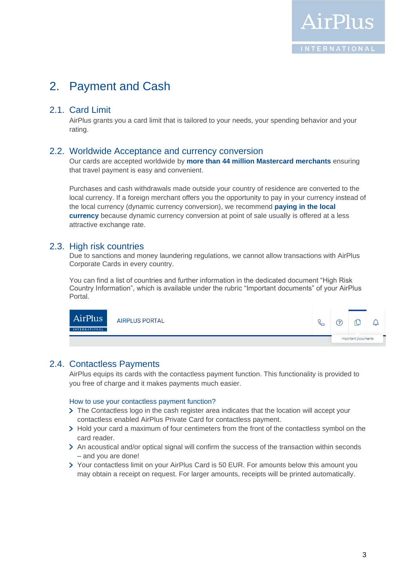### 2. Payment and Cash

### <span id="page-3-0"></span>2.1. Card Limit

AirPlus grants you a card limit that is tailored to your needs, your spending behavior and your rating.

### <span id="page-3-1"></span>2.2. Worldwide Acceptance and currency conversion

Our cards are accepted worldwide by **more than 44 million Mastercard merchants** ensuring that travel payment is easy and convenient.

Purchases and cash withdrawals made outside your country of residence are converted to the local currency. If a foreign merchant offers you the opportunity to pay in your currency instead of the local currency (dynamic currency conversion), we recommend **paying in the local currency** because dynamic currency conversion at point of sale usually is offered at a less attractive exchange rate.

### <span id="page-3-2"></span>2.3. High risk countries

Due to sanctions and money laundering regulations, we cannot allow transactions with AirPlus Corporate Cards in every country.

You can find a list of countries and further information in the dedicated document "High Risk Country Information", which is available under the rubric "Important documents" of your AirPlus Portal.



### <span id="page-3-3"></span>2.4. Contactless Payments

AirPlus equips its cards with the contactless payment function. This functionality is provided to you free of charge and it makes payments much easier.

### How to use your contactless payment function?

- $\geq$  The Contactless logo in the cash register area indicates that the location will accept your contactless enabled AirPlus Private Card for contactless payment.
- $\geq$  Hold your card a maximum of four centimeters from the front of the contactless symbol on the card reader.
- > An acoustical and/or optical signal will confirm the success of the transaction within seconds – and you are done!
- Your contactless limit on your AirPlus Card is 50 EUR. For amounts below this amount you may obtain a receipt on request. For larger amounts, receipts will be printed automatically.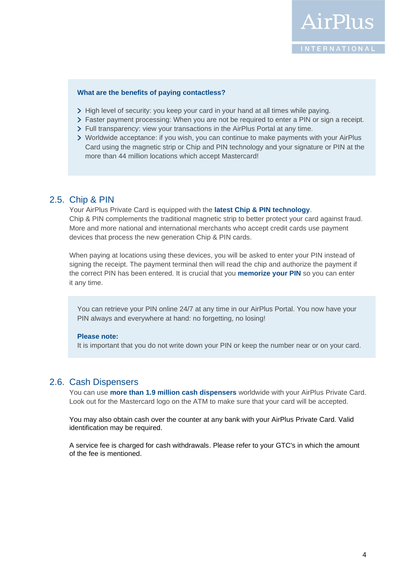AirPlus

#### **What are the benefits of paying contactless?**

- > High level of security: you keep your card in your hand at all times while paying.
- Faster payment processing: When you are not be required to enter a PIN or sign a receipt.
- Full transparency: view your transactions in the AirPlus Portal at any time.
- Worldwide acceptance: if you wish, you can continue to make payments with your AirPlus Card using the magnetic strip or Chip and PIN technology and your signature or PIN at the more than 44 million locations which accept Mastercard!

### <span id="page-4-0"></span>2.5. Chip & PIN

Your AirPlus Private Card is equipped with the **latest Chip & PIN technology**. Chip & PIN complements the traditional magnetic strip to better protect your card against fraud. More and more national and international merchants who accept credit cards use payment devices that process the new generation Chip & PIN cards.

When paying at locations using these devices, you will be asked to enter your PIN instead of signing the receipt. The payment terminal then will read the chip and authorize the payment if the correct PIN has been entered. It is crucial that you **memorize your PIN** so you can enter it any time.

You can retrieve your PIN online 24/7 at any time in our AirPlus Portal. You now have your PIN always and everywhere at hand: no forgetting, no losing!

#### **Please note:**

It is important that you do not write down your PIN or keep the number near or on your card.

### <span id="page-4-1"></span>2.6. Cash Dispensers

You can use **more than 1.9 million cash dispensers** worldwide with your AirPlus Private Card. Look out for the Mastercard logo on the ATM to make sure that your card will be accepted.

You may also obtain cash over the counter at any bank with your AirPlus Private Card. Valid identification may be required.

A service fee is charged for cash withdrawals. Please refer to your GTC's in which the amount of the fee is mentioned.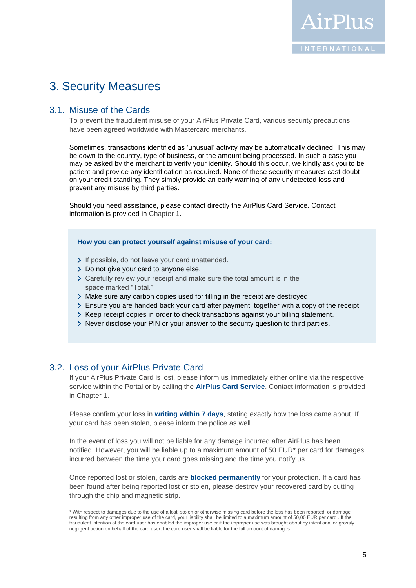### <span id="page-5-0"></span>3. Security Measures

### <span id="page-5-1"></span>3.1. Misuse of the Cards

To prevent the fraudulent misuse of your AirPlus Private Card, various security precautions have been agreed worldwide with Mastercard merchants.

Sometimes, transactions identified as 'unusual' activity may be automatically declined. This may be down to the country, type of business, or the amount being processed. In such a case you may be asked by the merchant to verify your identity. Should this occur, we kindly ask you to be patient and provide any identification as required. None of these security measures cast doubt on your credit standing. They simply provide an early warning of any undetected loss and prevent any misuse by third parties.

Should you need assistance, please contact directly the AirPlus Card Service. Contact information is provided in [Chapter](#page-0-0) 1.

#### **How you can protect yourself against misuse of your card:**

- > If possible, do not leave your card unattended.
- > Do not give your card to anyone else.
- Carefully review your receipt and make sure the total amount is in the space marked "Total."
- Make sure any carbon copies used for filling in the receipt are destroyed
- Ensure you are handed back your card after payment, together with a copy of the receipt
- $\geq$  Keep receipt copies in order to check transactions against your billing statement.
- Never disclose your PIN or your answer to the security question to third parties.

### <span id="page-5-2"></span>3.2. Loss of your AirPlus Private Card

If your AirPlus Private Card is lost, please inform us immediately either online via the respective service within the Portal or by calling the **AirPlus Card Service**. Contact information is provided in Chapter 1.

Please confirm your loss in **writing within 7 days**, stating exactly how the loss came about. If your card has been stolen, please inform the police as well.

In the event of loss you will not be liable for any damage incurred after AirPlus has been notified. However, you will be liable up to a maximum amount of 50 EUR\* per card for damages incurred between the time your card goes missing and the time you notify us.

Once reported lost or stolen, cards are **blocked permanently** for your protection. If a card has been found after being reported lost or stolen, please destroy your recovered card by cutting through the chip and magnetic strip.

<sup>\*</sup> With respect to damages due to the use of a lost, stolen or otherwise missing card before the loss has been reported, or damage resulting from any other improper use of the card, your liability shall be limited to a maximum amount of 50,00 EUR per card . If the fraudulent intention of the card user has enabled the improper use or if the improper use was brought about by intentional or grossly negligent action on behalf of the card user, the card user shall be liable for the full amount of damages.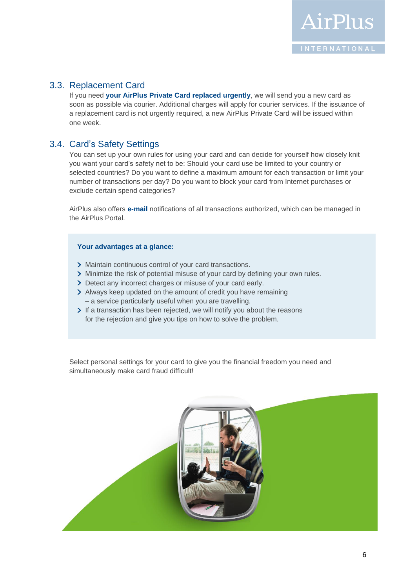

### <span id="page-6-0"></span>3.3. Replacement Card

If you need **your AirPlus Private Card replaced urgently**, we will send you a new card as soon as possible via courier. Additional charges will apply for courier services. If the issuance of a replacement card is not urgently required, a new AirPlus Private Card will be issued within one week.

### <span id="page-6-1"></span>3.4. Card's Safety Settings

You can set up your own rules for using your card and can decide for yourself how closely knit you want your card's safety net to be: Should your card use be limited to your country or selected countries? Do you want to define a maximum amount for each transaction or limit your number of transactions per day? Do you want to block your card from Internet purchases or exclude certain spend categories?

AirPlus also offers **e-mail** notifications of all transactions authorized, which can be managed in the AirPlus Portal.

### **Your advantages at a glance:**

- > Maintain continuous control of your card transactions.
- > Minimize the risk of potential misuse of your card by defining your own rules.
- > Detect any incorrect charges or misuse of your card early.
- Always keep updated on the amount of credit you have remaining – a service particularly useful when you are travelling.
- If a transaction has been rejected, we will notify you about the reasons for the rejection and give you tips on how to solve the problem.

Select personal settings for your card to give you the financial freedom you need and simultaneously make card fraud difficult!

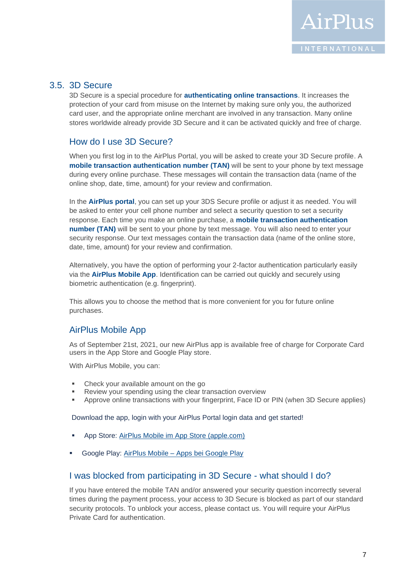

### <span id="page-7-0"></span>3.5. 3D Secure

3D Secure is a special procedure for **authenticating online transactions**. It increases the protection of your card from misuse on the Internet by making sure only you, the authorized card user, and the appropriate online merchant are involved in any transaction. Many online stores worldwide already provide 3D Secure and it can be activated quickly and free of charge.

### How do I use 3D Secure?

When you first log in to the AirPlus Portal, you will be asked to create your 3D Secure profile. A **mobile transaction authentication number (TAN)** will be sent to your phone by text message during every online purchase. These messages will contain the transaction data (name of the online shop, date, time, amount) for your review and confirmation.

In the **AirPlus portal**, you can set up your 3DS Secure profile or adjust it as needed. You will be asked to enter your cell phone number and select a security question to set a security response. Each time you make an online purchase, a **mobile transaction authentication number (TAN)** will be sent to your phone by text message. You will also need to enter your security response. Our text messages contain the transaction data (name of the online store, date, time, amount) for your review and confirmation.

Alternatively, you have the option of performing your 2-factor authentication particularly easily via the **AirPlus Mobile App**. Identification can be carried out quickly and securely using biometric authentication (e.g. fingerprint).

This allows you to choose the method that is more convenient for you for future online purchases.

### AirPlus Mobile App

As of September 21st, 2021, our new AirPlus app is available free of charge for Corporate Card users in the App Store and Google Play store.

With AirPlus Mobile, you can:

- Check your available amount on the go
- Review your spending using the clear transaction overview
- Approve online transactions with your fingerprint, Face ID or PIN (when 3D Secure applies)

Download the app, login with your AirPlus Portal login data and get started!

- App Store: [AirPlus Mobile im App Store \(apple.com\)](https://apps.apple.com/de/app/airplus-mobile/id1531840520)
- Google Play: AirPlus Mobile [Apps bei Google Play](https://play.google.com/store/apps/details?id=com.airplus.businessapp)

### I was blocked from participating in 3D Secure - what should I do?

If you have entered the mobile TAN and/or answered your security question incorrectly several times during the payment process, your access to 3D Secure is blocked as part of our standard security protocols. To unblock your access, please contact us. You will require your AirPlus Private Card for authentication.